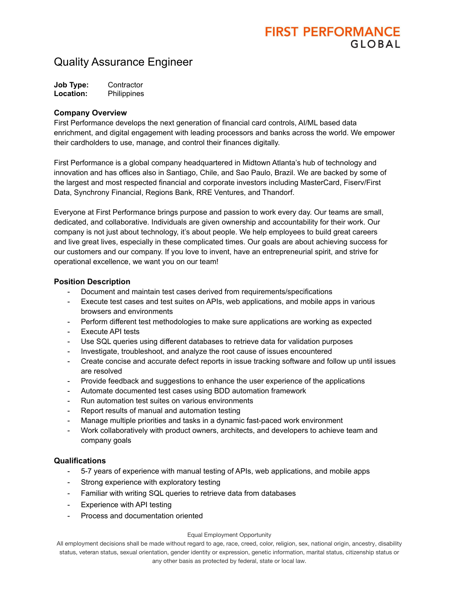# **FIRST PERFORMANCE** GIORAL

### Quality Assurance Engineer

| <b>Job Type:</b> | Contractor  |
|------------------|-------------|
| Location:        | Philippines |

#### **Company Overview**

First Performance develops the next generation of financial card controls, AI/ML based data enrichment, and digital engagement with leading processors and banks across the world. We empower their cardholders to use, manage, and control their finances digitally.

First Performance is a global company headquartered in Midtown Atlanta's hub of technology and innovation and has offices also in Santiago, Chile, and Sao Paulo, Brazil. We are backed by some of the largest and most respected financial and corporate investors including MasterCard, Fiserv/First Data, Synchrony Financial, Regions Bank, RRE Ventures, and Thandorf.

Everyone at First Performance brings purpose and passion to work every day. Our teams are small, dedicated, and collaborative. Individuals are given ownership and accountability for their work. Our company is not just about technology, it's about people. We help employees to build great careers and live great lives, especially in these complicated times. Our goals are about achieving success for our customers and our company. If you love to invent, have an entrepreneurial spirit, and strive for operational excellence, we want you on our team!

### **Position Description**

- Document and maintain test cases derived from requirements/specifications
- Execute test cases and test suites on APIs, web applications, and mobile apps in various browsers and environments
- Perform different test methodologies to make sure applications are working as expected
- Execute API tests
- Use SQL queries using different databases to retrieve data for validation purposes
- Investigate, troubleshoot, and analyze the root cause of issues encountered
- Create concise and accurate defect reports in issue tracking software and follow up until issues are resolved
- Provide feedback and suggestions to enhance the user experience of the applications
- Automate documented test cases using BDD automation framework
- Run automation test suites on various environments
- Report results of manual and automation testing
- Manage multiple priorities and tasks in a dynamic fast-paced work environment
- Work collaboratively with product owners, architects, and developers to achieve team and company goals

### **Qualifications**

- 5-7 years of experience with manual testing of APIs, web applications, and mobile apps
- Strong experience with exploratory testing
- Familiar with writing SQL queries to retrieve data from databases
- Experience with API testing
- Process and documentation oriented

#### Equal Employment Opportunity

All employment decisions shall be made without regard to age, race, creed, color, religion, sex, national origin, ancestry, disability status, veteran status, sexual orientation, gender identity or expression, genetic information, marital status, citizenship status or any other basis as protected by federal, state or local law.